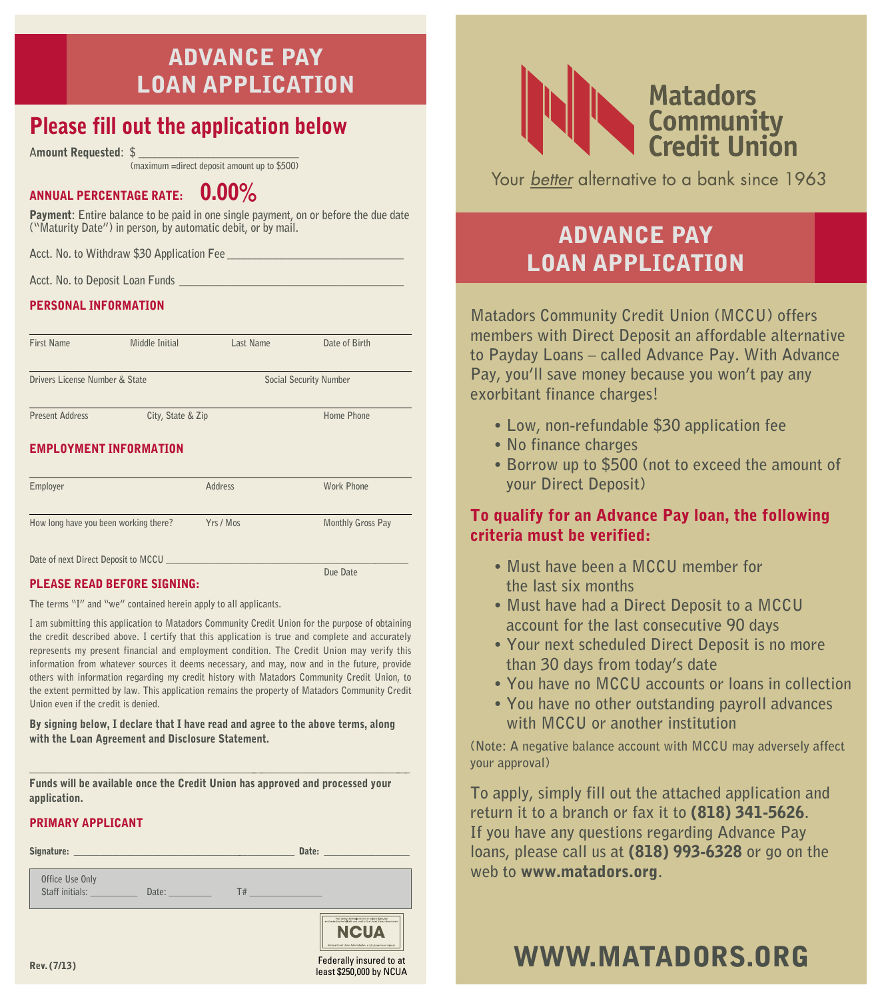# Advance Pay Loan Application

# Please fill out the application below

**A**mount Requested**: \$ \_\_\_\_\_\_\_\_\_\_\_\_\_\_\_\_\_\_\_\_\_\_\_\_\_\_\_\_\_\_** 

 **(maximum =direct deposit amount up to \$500)**

## ANNUAL PERCENTAGE RATE:  $0.00\%$

Payment**: Entire balance to be paid in one single payment, on or before the due date ("Maturity Date") in person, by automatic debit, or by mail.**

**Acct. No. to Withdraw \$30 Application Fee \_\_\_\_\_\_\_\_\_\_\_\_\_\_\_\_\_\_\_\_\_\_\_\_\_\_\_\_\_\_\_\_\_**

Acct. No. to Deposit Loan Funds

#### PERSONAL INFORMATION

| First Name                            | Middle Initial                | Last Name              | Date of Birth     |  |
|---------------------------------------|-------------------------------|------------------------|-------------------|--|
| Drivers License Number & State        |                               | Social Security Number |                   |  |
| <b>Present Address</b>                | City, State & Zip             |                        | Home Phone        |  |
|                                       | <b>EMPLOYMENT INFORMATION</b> |                        |                   |  |
| Employer                              |                               | Address                | <b>Work Phone</b> |  |
| How long have you been working there? |                               | Yrs / Mos              | Monthly Gross Pay |  |
| Date of next Direct Deposit to MCCU   |                               |                        |                   |  |
|                                       |                               |                        | Due Date          |  |

#### PLEASE READ BEFORE SIGNING:

**The terms "I" and "we" contained herein apply to all applicants.** 

**I am submitting this application to Matadors Community Credit Union for the purpose of obtaining the credit described above. I certify that this application is true and complete and accurately represents my present financial and employment condition. The Credit Union may verify this information from whatever sources it deems necessary, and may, now and in the future, provide others with information regarding my credit history with Matadors Community Credit Union, to the extent permitted by law. This application remains the property of Matadors Community Credit Union even if the credit is denied.**

By signing below, I declare that I have read and agree to the above terms, along with the Loan Agreement and Disclosure Statement.

 $\_$  ,  $\_$  ,  $\_$  ,  $\_$  ,  $\_$  ,  $\_$  ,  $\_$  ,  $\_$  ,  $\_$  ,  $\_$  ,  $\_$  ,  $\_$  ,  $\_$  ,  $\_$  ,  $\_$  ,  $\_$  ,  $\_$  ,  $\_$  ,  $\_$  ,  $\_$ Funds will be available once the Credit Union has approved and processed your application.

## PRIMARY APPLICANT

| Signature: The Company of the Company of the Company of the Company of the Company of the Company of the Company |       |                                         | Date: The Date:                                                                                                                                                                                                     |
|------------------------------------------------------------------------------------------------------------------|-------|-----------------------------------------|---------------------------------------------------------------------------------------------------------------------------------------------------------------------------------------------------------------------|
| Office Use Only<br>Staff initials: <b>Staff</b> initials:                                                        | Date: | T#<br>the company of the company of the |                                                                                                                                                                                                                     |
|                                                                                                                  |       |                                         | -<br>Their steeleys believed chase for all least \$200,000<br>and busined to the La faith and crack of the United States Government<br><b>NCUA</b><br>Hational Gradit Erich Administration, a U.S. Government Agen- |
| Rev. (7/13)                                                                                                      |       |                                         | Federally insured to at<br>least \$250,000 by NCUA                                                                                                                                                                  |



Your better alternative to a bank since 1963

# Advance Pay Loan Application

**Matadors Community Credit Union (MCCU) offers members with Direct Deposit an affordable alternative to Payday Loans – called Advance Pay. With Advance Pay, you'll save money because you won't pay any exorbitant finance charges!** 

- **Low, non-refundable \$30 application fee**
- **No finance charges**
- **Borrow up to \$500 (not to exceed the amount of your Direct Deposit)**

## To qualify for an Advance Pay loan, the following criteria must be verified:

- **Must have been a MCCU member for the last six months**
- **Must have had a Direct Deposit to a MCCU account for the last consecutive 90 days**
- **Your next scheduled Direct Deposit is no more than 30 days from today's date**
- **You have no MCCU accounts or loans in collection**
- **You have no other outstanding payroll advances with MCCU or another institution**

**(Note: A negative balance account with MCCU may adversely affect your approval)**

**To apply, simply fill out the attached application and return it to a branch or fax it to** (818) 341-5626**. If you have any questions regarding Advance Pay loans, please call us at** (818) 993-6328 **or go on the web to** www.matadors.org**.** 

# www.matadors.org